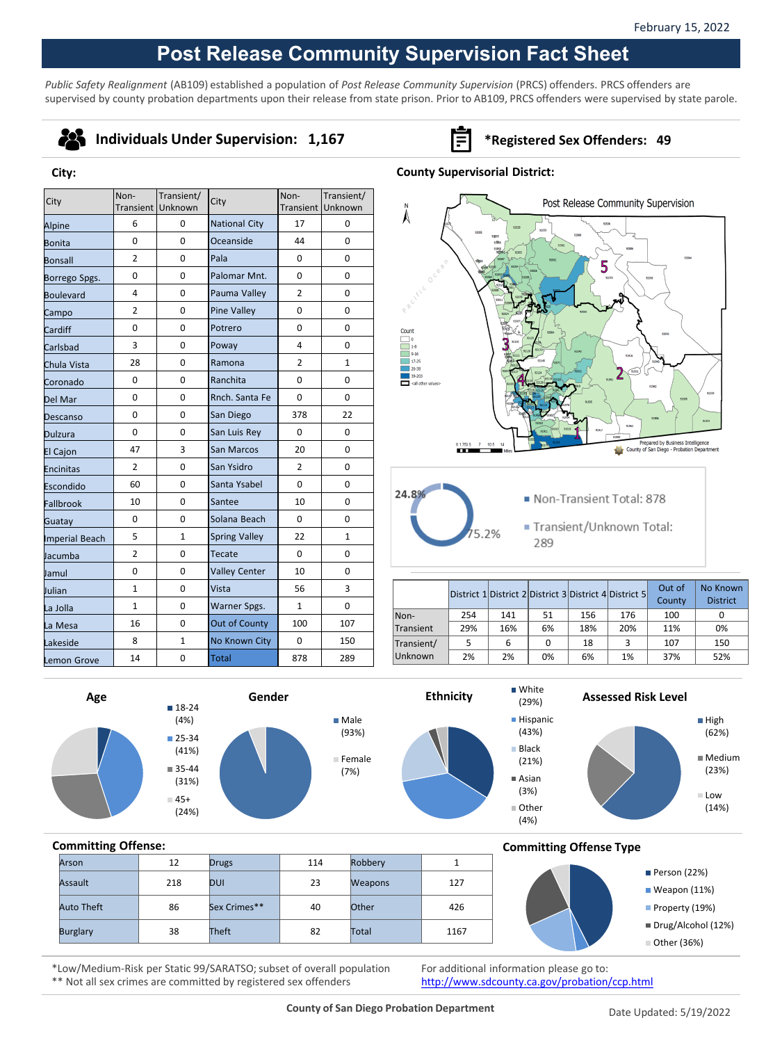# **Post Release Community Supervision Fact Sheet**

*Public Safety Realignment* (AB109) established a population of *Post Release Community Supervision* (PRCS) offenders. PRCS offenders are supervised by county probation departments upon their release from state prison. Prior to AB109, PRCS offenders were supervised by state parole.

| ٠<br>- 1 |  |
|----------|--|

**City:**

### **Individuals Under Supervision: 1,167 Fig. 3.167 \*Registered Sex Offenders: 49**

### **County Supervisorial District:**

| City           | Non-           | Transient/        | City                 | Non-           | Transient/   |
|----------------|----------------|-------------------|----------------------|----------------|--------------|
|                |                | Transient Unknown |                      | Transient      | Unknown      |
| Alpine         | 6              | 0                 | <b>National City</b> | 17             | 0            |
| Bonita         | $\Omega$       | $\Omega$          | Oceanside            | 44             | $\Omega$     |
| Bonsall        | $\overline{2}$ | 0                 | Pala                 | $\Omega$       | $\Omega$     |
| Borrego Spgs.  | 0              | 0                 | Palomar Mnt.         | 0              | 0            |
| Boulevard      | 4              | 0                 | Pauma Valley         | $\overline{2}$ | 0            |
| Campo          | $\overline{2}$ | 0                 | <b>Pine Valley</b>   | 0              | $\Omega$     |
| Cardiff        | 0              | 0                 | Potrero              | 0              | 0            |
| Carlsbad       | 3              | 0                 | Poway                | 4              | 0            |
| Chula Vista    | 28             | 0                 | Ramona               | $\overline{2}$ | $\mathbf{1}$ |
| Coronado       | 0              | 0                 | Ranchita             | 0              | 0            |
| Del Mar        | 0              | 0                 | Rnch. Santa Fe       | 0              | 0            |
| Descanso       | 0              | 0                 | San Diego            | 378            | 22           |
| Dulzura        | 0              | 0                 | San Luis Rey         | $\Omega$       | 0            |
| El Cajon       | 47             | 3                 | San Marcos           | 20             | $\Omega$     |
| Encinitas      | $\overline{2}$ | 0                 | San Ysidro           | $\overline{2}$ | 0            |
| Escondido      | 60             | 0                 | Santa Ysabel         | 0              | 0            |
| Fallbrook      | 10             | $\Omega$          | Santee               | 10             | $\Omega$     |
| Guatay         | 0              | 0                 | Solana Beach         | 0              | 0            |
| Imperial Beach | 5              | 1                 | <b>Spring Valley</b> | 22             | 1            |
| Jacumba        | $\overline{2}$ | 0                 | Tecate<br>$\Omega$   |                | 0            |
| Jamul          | 0              | 0                 | <b>Valley Center</b> | 10             | 0            |
| Julian         | $\mathbf{1}$   | 0                 | Vista<br>56          |                | 3            |
| La Jolla       | $\mathbf{1}$   | 0                 | Warner Spgs.         | $\mathbf{1}$   | 0            |
| La Mesa        | 16             | 0                 | Out of County        | 100            | 107          |
| Lakeside       | 8              | $\mathbf{1}$      | No Known City        | 0              | 150          |
| Lemon Grove    | 14             | 0                 | <b>Total</b>         | 878            | 289          |



- 24.89  $2%$
- Non-Transient Total: 878
- Transient/Unknown Total: 289

|            |     |     |    |     | District 1 District 2 District 3 District 4 District 5 | Out of<br>County | No Known<br><b>District</b> |
|------------|-----|-----|----|-----|--------------------------------------------------------|------------------|-----------------------------|
| Non-       | 254 | 141 | 51 | 156 | 176                                                    | 100              |                             |
| Transient  | 29% | 16% | 6% | 18% | 20%                                                    | 11%              | 0%                          |
| Transient/ | 5   | 6   | 0  | 18  | з                                                      | 107              | 150                         |
| Unknown    | 2%  | 2%  | 0% | 6%  | 1%                                                     | 37%              | 52%                         |









**Committing Offense Type**



## **Committing Offense:** Arson | 12 Drugs | 114 Robbery | 1 Assault 218 DUI 23 Weapons 127 Auto Theft 86 Sex Crimes\*\* 40 Other 426

\*Low/Medium-Risk per Static 99/SARATSO; subset of overall population Burglary 1167 38 Theft 182 Total 1167

\*\* Not all sex crimes are committed by registered sex offenders

For additional information please go to: <http://www.sdcounty.ca.gov/probation/ccp.html>

(21%) Asian (3%) Other (4%)

Person (22%) Weapon (11%) Property (19%) Drug/Alcohol (12%) Other (36%)